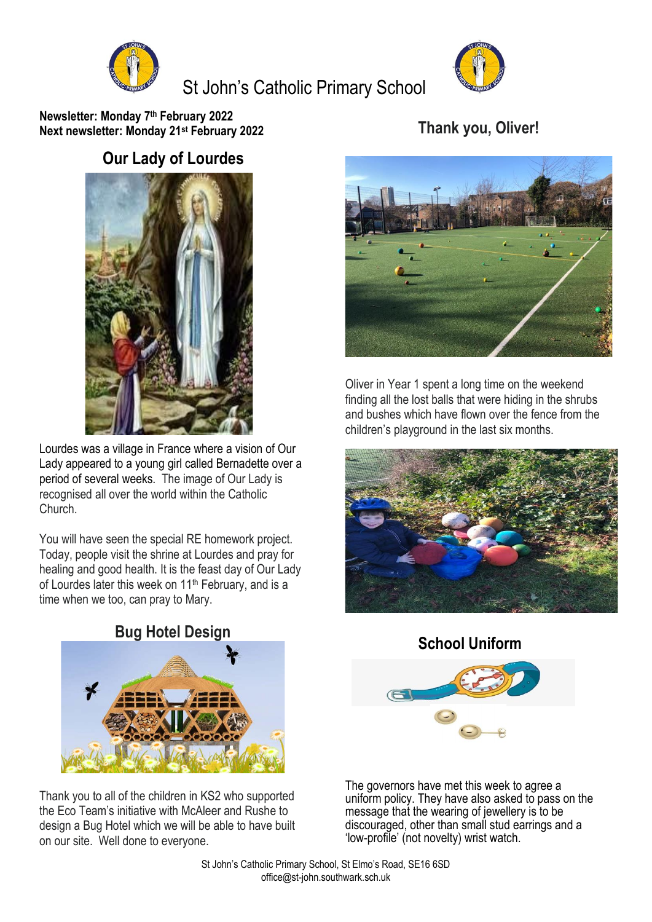

# St John's Catholic Primary School



**Newsletter: Monday 7 th February 2022 Next newsletter: Monday 21st February 2022**

# **Thank you, Oliver!**

## **Our Lady of Lourdes**



Lourdes was a village in France where a vision of Our Lady appeared to a young girl called Bernadette over a period of several weeks. The image of Our Lady is recognised all over the world within the Catholic Church.

You will have seen the special RE homework project. Today, people visit the shrine at Lourdes and pray for healing and good health. It is the feast day of Our Lady of Lourdes later this week on 11<sup>th</sup> February, and is a time when we too, can pray to Mary.

**Bug Hotel Design**



Thank you to all of the children in KS2 who supported the Eco Team's initiative with McAleer and Rushe to design a Bug Hotel which we will be able to have built on our site. Well done to everyone.



Oliver in Year 1 spent a long time on the weekend finding all the lost balls that were hiding in the shrubs and bushes which have flown over the fence from the children's playground in the last six months.



**School Uniform**



The governors have met this week to agree a uniform policy. They have also asked to pass on the message that the wearing of jewellery is to be discouraged, other than small stud earrings and a 'low-profile' (not novelty) wrist watch.